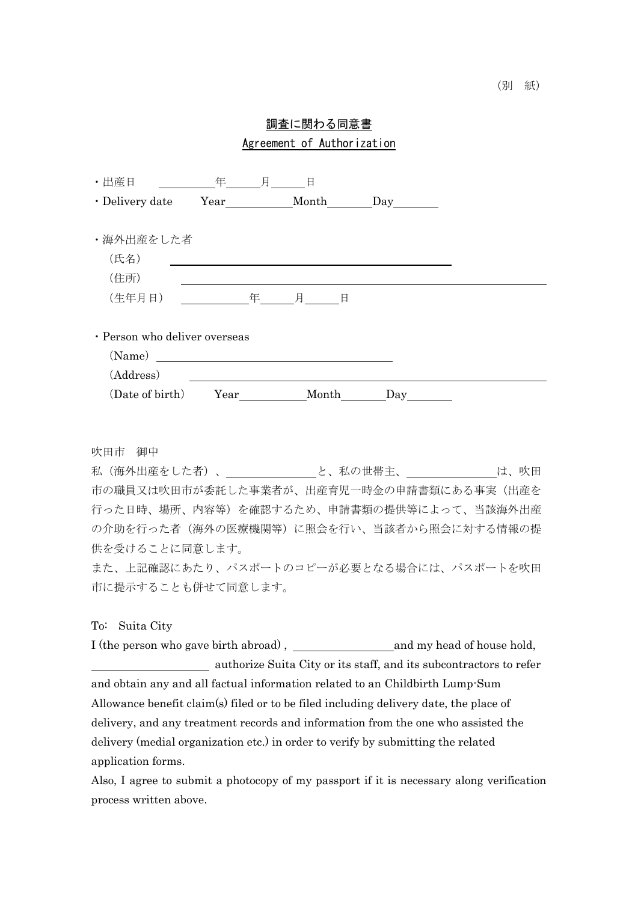## 調査に関わる同意書 Agreement of Authorization

| ・出産日                          | 年          | 月 | 日              |  |     |  |  |  |  |
|-------------------------------|------------|---|----------------|--|-----|--|--|--|--|
| · Delivery date               | Year Month |   |                |  | Day |  |  |  |  |
|                               |            |   |                |  |     |  |  |  |  |
| ・海外出産をした者                     |            |   |                |  |     |  |  |  |  |
| (氏名)                          |            |   |                |  |     |  |  |  |  |
| (住所)                          |            |   |                |  |     |  |  |  |  |
| (生年月日)                        | アンディスク 年   |   | しんじょう 月 コンローロン |  |     |  |  |  |  |
|                               |            |   |                |  |     |  |  |  |  |
| · Person who deliver overseas |            |   |                |  |     |  |  |  |  |
| (Name)                        |            |   |                |  |     |  |  |  |  |
| (Address)                     |            |   |                |  |     |  |  |  |  |
| (Date of birth)               | Year       |   | Month          |  | Day |  |  |  |  |

吹田市 御中

私(海外出産をした者)、 と、私の世帯主、 は、吹田 市の職員又は吹田市が委託した事業者が、出産育児一時金の申請書類にある事実(出産を 行った日時、場所、内容等)を確認するため、申請書類の提供等によって、当該海外出産 の介助を行った者(海外の医療機関等)に照会を行い、当該者から照会に対する情報の提 供を受けることに同意します。

また、上記確認にあたり、パスポートのコピーが必要となる場合には、パスポートを吹田 市に提示することも併せて同意します。

## To: Suita City

I (the person who gave birth abroad), and my head of house hold, authorize Suita City or its staff, and its subcontractors to refer and obtain any and all factual information related to an Childbirth Lump-Sum Allowance benefit claim(s) filed or to be filed including delivery date, the place of delivery, and any treatment records and information from the one who assisted the delivery (medial organization etc.) in order to verify by submitting the related application forms.

Also, I agree to submit a photocopy of my passport if it is necessary along verification process written above.